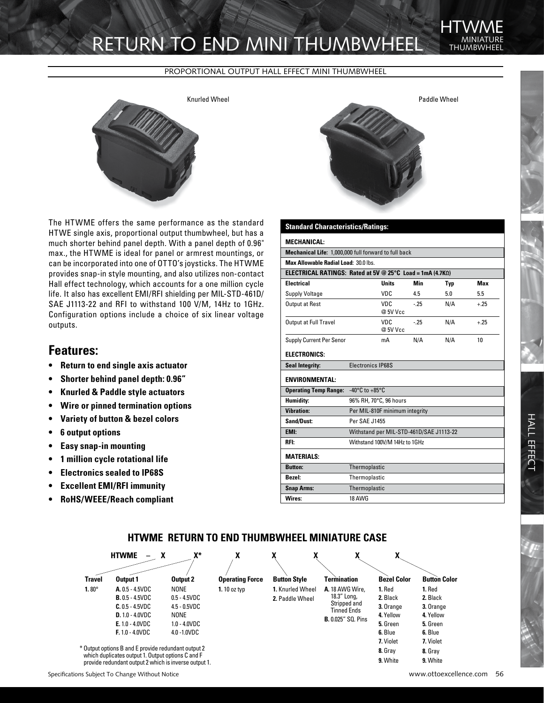# RETURN TO END MINI THUMBWHEEI

#### PROPORTIONAL OUTPUT HALL EFFECT MINI THUMBWHEEL



The HTWME offers the same performance as the standard HTWE single axis, proportional output thumbwheel, but has a much shorter behind panel depth. With a panel depth of 0.96" max., the HTWME is ideal for panel or armrest mountings, or can be incorporated into one of OTTO's joysticks. The HTWME provides snap-in style mounting, and also utilizes non-contact Hall effect technology, which accounts for a one million cycle life. It also has excellent EMI/RFI shielding per MIL-STD-461D/ SAE J1113-22 and RFI to withstand 100 V/M, 14Hz to 1GHz. Configuration options include a choice of six linear voltage outputs.

### **Features:**

- **• Return to end single axis actuator**
- **• Shorter behind panel depth: 0.96"**
- **• Knurled & Paddle style actuators**
- **• Wire or pinned termination options**
- **• Variety of button & bezel colors**
- **• 6 output options**
- **Easy snap-in mounting**
- **• 1 million cycle rotational life**
- **• Electronics sealed to IP68S**
- **Excellent EMI/RFI immunity**
- **• RoHS/WEEE/Reach compliant**



### **Standard Characteristics/Ratings:**

| <b>MECHANICAL:</b>                                               | <u>notrooy matingor</u>                 |                  |       |            |        |
|------------------------------------------------------------------|-----------------------------------------|------------------|-------|------------|--------|
| Mechanical Life: 1,000,000 full forward to full back             |                                         |                  |       |            |        |
| Max Allowable Radial Load: 30.0 lbs.                             |                                         |                  |       |            |        |
| <b>ELECTRICAL RATINGS: Rated at 5V @ 25°C Load = 1mA (4.7KQ)</b> |                                         |                  |       |            |        |
| <b>Electrical</b>                                                |                                         | <b>Units</b>     | Min   | <b>Typ</b> | Max    |
| <b>Supply Voltage</b>                                            |                                         | VDC.             | 4.5   | 5.0        | 5.5    |
| Output at Rest                                                   |                                         | VDC.<br>@ 5V Vcc | $-25$ | N/A        | $+.25$ |
| Output at Full Travel                                            |                                         | VDC.<br>@ 5V Vcc | $-25$ | N/A        | $+.25$ |
| Supply Current Per Senor                                         |                                         | mA               | N/A   | N/A        | 10     |
| <b>ELECTRONICS:</b>                                              |                                         |                  |       |            |        |
| <b>Seal Integrity:</b>                                           | Electronics IP68S                       |                  |       |            |        |
| <b>ENVIRONMENTAL:</b>                                            |                                         |                  |       |            |        |
| <b>Operating Temp Range:</b>                                     | -40 $^{\circ}$ C to +85 $^{\circ}$ C    |                  |       |            |        |
| Humidity:                                                        | 96% RH, 70°C, 96 hours                  |                  |       |            |        |
| <b>Vibration:</b>                                                | Per MIL-810F minimum integrity          |                  |       |            |        |
| Sand/Dust:                                                       | Per SAF .11455                          |                  |       |            |        |
| EMI:                                                             | Withstand per MIL-STD-461D/SAE J1113-22 |                  |       |            |        |
| RFI:                                                             | Withstand 100V/M 14Hz to 1GHz           |                  |       |            |        |
| <b>MATERIALS:</b>                                                |                                         |                  |       |            |        |
| <b>Button:</b>                                                   | Thermoplastic                           |                  |       |            |        |
| <b>Bezel:</b>                                                    | Thermoplastic                           |                  |       |            |        |
| <b>Snap Arms:</b>                                                | Thermoplastic                           |                  |       |            |        |
| Wires:                                                           | 18 AWG                                  |                  |       |            |        |

### **HTWME RETURN TO END THUMBWHEEL MINIATURE CASE**



THI IMRWF **HTWME**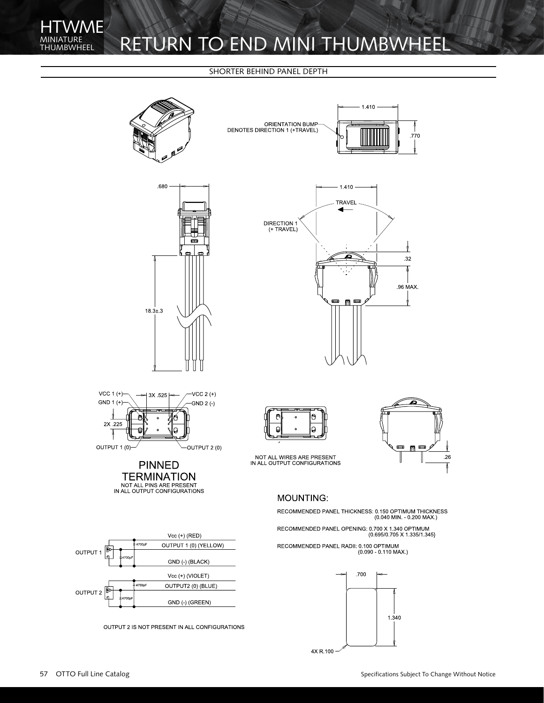## ATURE RETURN TO END MINI THUMBWHEEL

#### SHORTER BEHIND PANEL DEPTH



 $.26$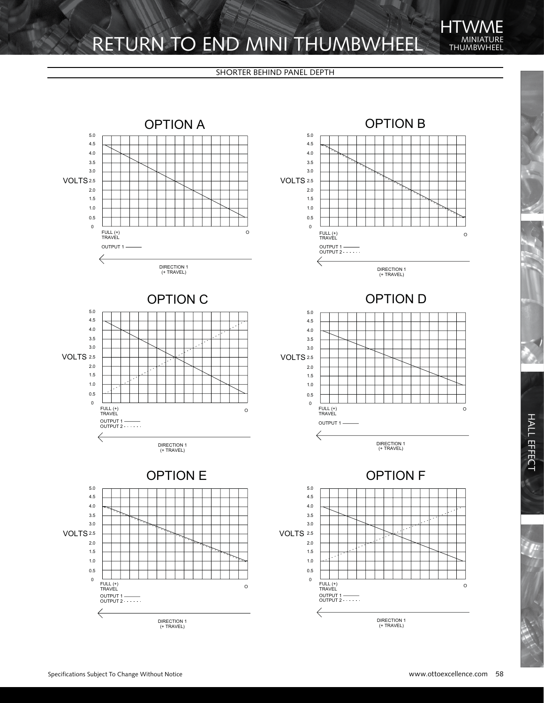## RETURN TO END MINI THUMBWHEEL THUMBWHEEL

THUMBWHEEL **HTWME** 

#### SHORTER BEHIND PANEL DEPTH